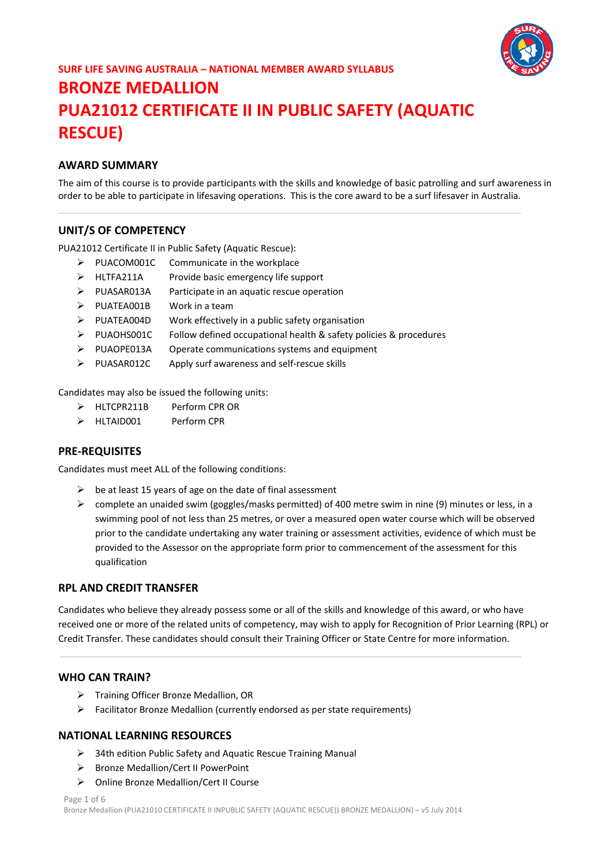

## **AWARD SUMMARY**

The aim of this course is to provide participants with the skills and knowledge of basic patrolling and surf awareness in order to be able to participate in lifesaving operations. This is the core award to be a surf lifesaver in Australia.

## **UNIT/S OF COMPETENCY**

PUA21012 Certificate II in Public Safety (Aquatic Rescue):

- $\triangleright$  PUACOM001C Communicate in the workplace
- HLTFA211A Provide basic emergency life support
- PUASAR013A Participate in an aquatic rescue operation
- $\triangleright$  PUATEA001B Work in a team
- PUATEA004D Work effectively in a public safety organisation
- PUAOHS001C Follow defined occupational health & safety policies & procedures
- PUAOPE013A Operate communications systems and equipment
- PUASAR012C Apply surf awareness and self-rescue skills

Candidates may also be issued the following units:

- > HLTCPR211B Perform CPR OR
- > HLTAID001 Perform CPR

### **PRE-REQUISITES**

Candidates must meet ALL of the following conditions:

- $\triangleright$  be at least 15 years of age on the date of final assessment
- $\triangleright$  complete an unaided swim (goggles/masks permitted) of 400 metre swim in nine (9) minutes or less, in a swimming pool of not less than 25 metres, or over a measured open water course which will be observed prior to the candidate undertaking any water training or assessment activities, evidence of which must be provided to the Assessor on the appropriate form prior to commencement of the assessment for this qualification

### **RPL AND CREDIT TRANSFER**

Candidates who believe they already possess some or all of the skills and knowledge of this award, or who have received one or more of the related units of competency, may wish to apply for Recognition of Prior Learning (RPL) or Credit Transfer. These candidates should consult their Training Officer or State Centre for more information.

#### **WHO CAN TRAIN?**

- Training Officer Bronze Medallion, OR
- $\triangleright$  Facilitator Bronze Medallion (currently endorsed as per state requirements)

### **NATIONAL LEARNING RESOURCES**

- $\triangleright$  34th edition Public Safety and Aquatic Rescue Training Manual
- ▶ Bronze Medallion/Cert II PowerPoint
- Online Bronze Medallion/Cert II Course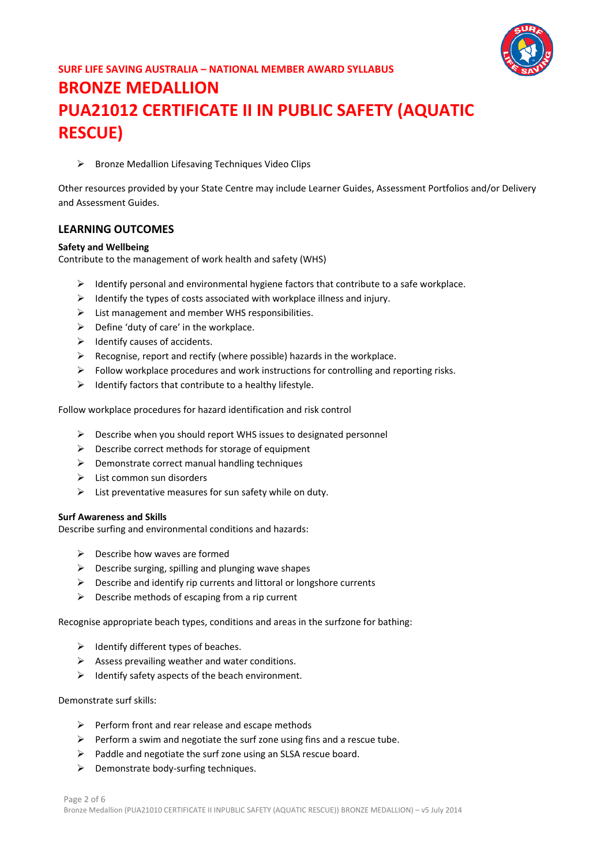

 $\triangleright$  Bronze Medallion Lifesaving Techniques Video Clips

Other resources provided by your State Centre may include Learner Guides, Assessment Portfolios and/or Delivery and Assessment Guides.

## **LEARNING OUTCOMES**

#### **Safety and Wellbeing**

Contribute to the management of work health and safety (WHS)

- $\triangleright$  Identify personal and environmental hygiene factors that contribute to a safe workplace.
- $\triangleright$  Identify the types of costs associated with workplace illness and injury.
- $\triangleright$  List management and member WHS responsibilities.
- $\triangleright$  Define 'duty of care' in the workplace.
- $\triangleright$  Identify causes of accidents.
- $\triangleright$  Recognise, report and rectify (where possible) hazards in the workplace.
- $\triangleright$  Follow workplace procedures and work instructions for controlling and reporting risks.
- $\triangleright$  Identify factors that contribute to a healthy lifestyle.

Follow workplace procedures for hazard identification and risk control

- $\triangleright$  Describe when you should report WHS issues to designated personnel
- $\triangleright$  Describe correct methods for storage of equipment
- $\triangleright$  Demonstrate correct manual handling techniques
- $\triangleright$  List common sun disorders
- $\triangleright$  List preventative measures for sun safety while on duty.

#### **Surf Awareness and Skills**

Describe surfing and environmental conditions and hazards:

- $\triangleright$  Describe how waves are formed
- $\triangleright$  Describe surging, spilling and plunging wave shapes
- $\triangleright$  Describe and identify rip currents and littoral or longshore currents
- $\triangleright$  Describe methods of escaping from a rip current

Recognise appropriate beach types, conditions and areas in the surfzone for bathing:

- $\triangleright$  Identify different types of beaches.
- $\triangleright$  Assess prevailing weather and water conditions.
- $\triangleright$  Identify safety aspects of the beach environment.

#### Demonstrate surf skills:

- $\triangleright$  Perform front and rear release and escape methods
- $\triangleright$  Perform a swim and negotiate the surf zone using fins and a rescue tube.
- $\triangleright$  Paddle and negotiate the surf zone using an SLSA rescue board.
- $\triangleright$  Demonstrate body-surfing techniques.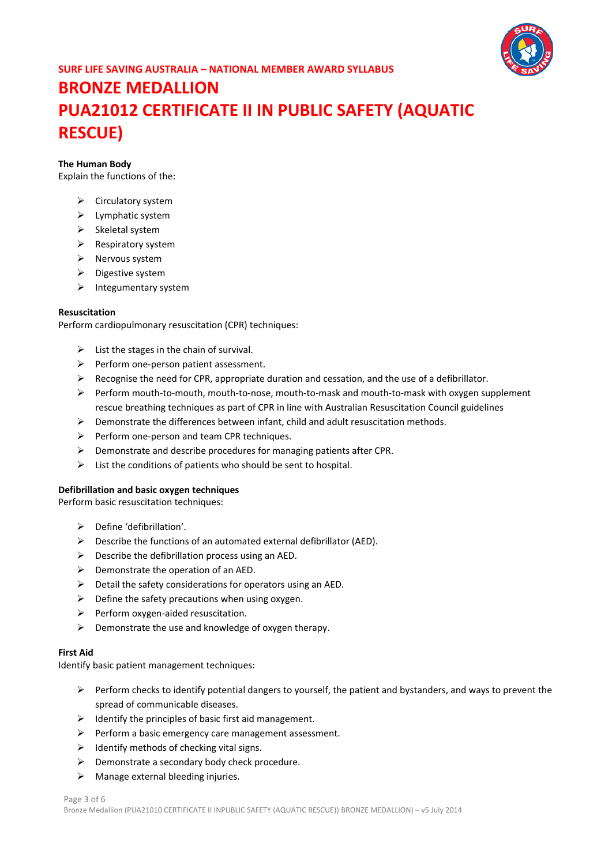

#### **The Human Body**

Explain the functions of the:

- $\triangleright$  Circulatory system
- > Lymphatic system
- $\triangleright$  Skeletal system
- $\triangleright$  Respiratory system
- $\triangleright$  Nervous system
- $\triangleright$  Digestive system
- $\triangleright$  Integumentary system

#### **Resuscitation**

Perform cardiopulmonary resuscitation (CPR) techniques:

- $\triangleright$  List the stages in the chain of survival.
- $\triangleright$  Perform one-person patient assessment.
- $\triangleright$  Recognise the need for CPR, appropriate duration and cessation, and the use of a defibrillator.
- $\triangleright$  Perform mouth-to-mouth, mouth-to-nose, mouth-to-mask and mouth-to-mask with oxygen supplement rescue breathing techniques as part of CPR in line with Australian Resuscitation Council guidelines
- $\triangleright$  Demonstrate the differences between infant, child and adult resuscitation methods.
- $\triangleright$  Perform one-person and team CPR techniques.
- $\triangleright$  Demonstrate and describe procedures for managing patients after CPR.
- $\triangleright$  List the conditions of patients who should be sent to hospital.

#### **Defibrillation and basic oxygen techniques**

Perform basic resuscitation techniques:

- $\triangleright$  Define 'defibrillation'.
- $\triangleright$  Describe the functions of an automated external defibrillator (AED).
- $\triangleright$  Describe the defibrillation process using an AED.
- $\triangleright$  Demonstrate the operation of an AED.
- $\triangleright$  Detail the safety considerations for operators using an AED.
- $\triangleright$  Define the safety precautions when using oxygen.
- $\triangleright$  Perform oxygen-aided resuscitation.
- $\triangleright$  Demonstrate the use and knowledge of oxygen therapy.

#### **First Aid**

Identify basic patient management techniques:

- $\triangleright$  Perform checks to identify potential dangers to yourself, the patient and bystanders, and ways to prevent the spread of communicable diseases.
- $\triangleright$  Identify the principles of basic first aid management.
- $\triangleright$  Perform a basic emergency care management assessment.
- $\triangleright$  Identify methods of checking vital signs.
- $\triangleright$  Demonstrate a secondary body check procedure.
- $\triangleright$  Manage external bleeding injuries.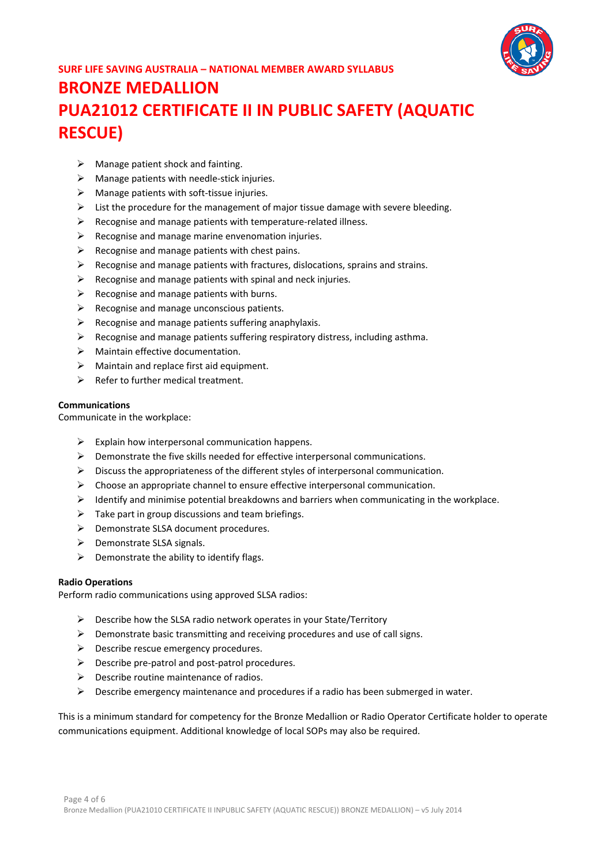

- $\triangleright$  Manage patient shock and fainting.
- $\triangleright$  Manage patients with needle-stick injuries.
- $\triangleright$  Manage patients with soft-tissue injuries.
- $\triangleright$  List the procedure for the management of major tissue damage with severe bleeding.
- $\triangleright$  Recognise and manage patients with temperature-related illness.
- $\triangleright$  Recognise and manage marine envenomation injuries.
- $\triangleright$  Recognise and manage patients with chest pains.
- $\triangleright$  Recognise and manage patients with fractures, dislocations, sprains and strains.
- $\triangleright$  Recognise and manage patients with spinal and neck injuries.
- $\triangleright$  Recognise and manage patients with burns.
- $\triangleright$  Recognise and manage unconscious patients.
- $\triangleright$  Recognise and manage patients suffering anaphylaxis.
- $\triangleright$  Recognise and manage patients suffering respiratory distress, including asthma.
- $\triangleright$  Maintain effective documentation.
- $\triangleright$  Maintain and replace first aid equipment.
- $\triangleright$  Refer to further medical treatment.

### **Communications**

Communicate in the workplace:

- $\triangleright$  Explain how interpersonal communication happens.
- $\triangleright$  Demonstrate the five skills needed for effective interpersonal communications.
- $\triangleright$  Discuss the appropriateness of the different styles of interpersonal communication.
- $\triangleright$  Choose an appropriate channel to ensure effective interpersonal communication.
- $\triangleright$  Identify and minimise potential breakdowns and barriers when communicating in the workplace.
- $\triangleright$  Take part in group discussions and team briefings.
- ▶ Demonstrate SLSA document procedures.
- $\triangleright$  Demonstrate SLSA signals.
- $\triangleright$  Demonstrate the ability to identify flags.

### **Radio Operations**

Perform radio communications using approved SLSA radios:

- $\triangleright$  Describe how the SLSA radio network operates in your State/Territory
- Demonstrate basic transmitting and receiving procedures and use of call signs.
- $\triangleright$  Describe rescue emergency procedures.
- $\triangleright$  Describe pre-patrol and post-patrol procedures.
- $\triangleright$  Describe routine maintenance of radios.
- $\triangleright$  Describe emergency maintenance and procedures if a radio has been submerged in water.

This is a minimum standard for competency for the Bronze Medallion or Radio Operator Certificate holder to operate communications equipment. Additional knowledge of local SOPs may also be required.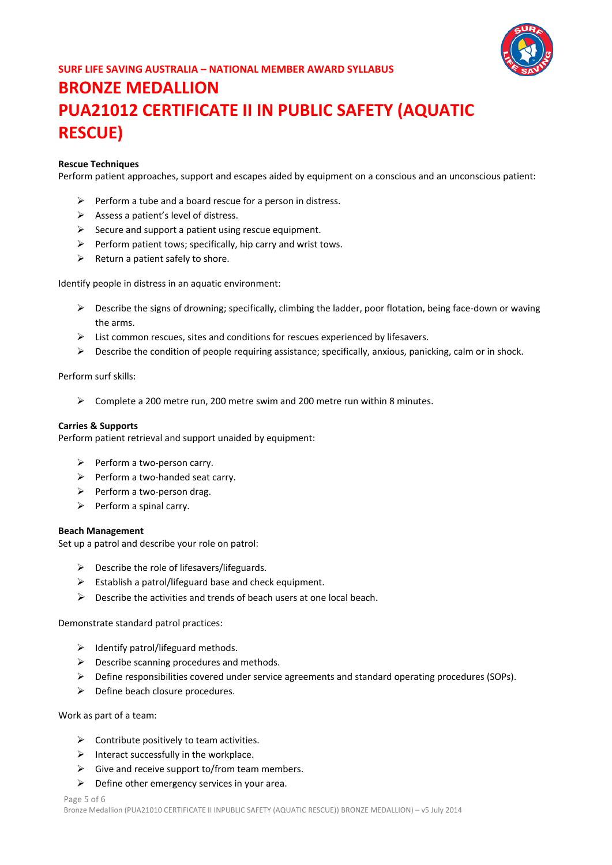

#### **Rescue Techniques**

Perform patient approaches, support and escapes aided by equipment on a conscious and an unconscious patient:

- $\triangleright$  Perform a tube and a board rescue for a person in distress.
- $\triangleright$  Assess a patient's level of distress.
- $\triangleright$  Secure and support a patient using rescue equipment.
- $\triangleright$  Perform patient tows; specifically, hip carry and wrist tows.
- $\triangleright$  Return a patient safely to shore.

Identify people in distress in an aquatic environment:

- $\triangleright$  Describe the signs of drowning; specifically, climbing the ladder, poor flotation, being face-down or waving the arms.
- $\triangleright$  List common rescues, sites and conditions for rescues experienced by lifesavers.
- $\triangleright$  Describe the condition of people requiring assistance; specifically, anxious, panicking, calm or in shock.

Perform surf skills:

Complete a 200 metre run, 200 metre swim and 200 metre run within 8 minutes.

#### **Carries & Supports**

Perform patient retrieval and support unaided by equipment:

- $\triangleright$  Perform a two-person carry.
- $\triangleright$  Perform a two-handed seat carry.
- $\triangleright$  Perform a two-person drag.
- $\triangleright$  Perform a spinal carry.

#### **Beach Management**

Set up a patrol and describe your role on patrol:

- $\triangleright$  Describe the role of lifesavers/lifeguards.
- $\triangleright$  Establish a patrol/lifeguard base and check equipment.
- $\triangleright$  Describe the activities and trends of beach users at one local beach.

Demonstrate standard patrol practices:

- $\triangleright$  Identify patrol/lifeguard methods.
- $\triangleright$  Describe scanning procedures and methods.
- $\triangleright$  Define responsibilities covered under service agreements and standard operating procedures (SOPs).
- $\triangleright$  Define beach closure procedures.

#### Work as part of a team:

- $\triangleright$  Contribute positively to team activities.
- $\triangleright$  Interact successfully in the workplace.
- $\triangleright$  Give and receive support to/from team members.
- $\triangleright$  Define other emergency services in your area.

Page 5 of 6